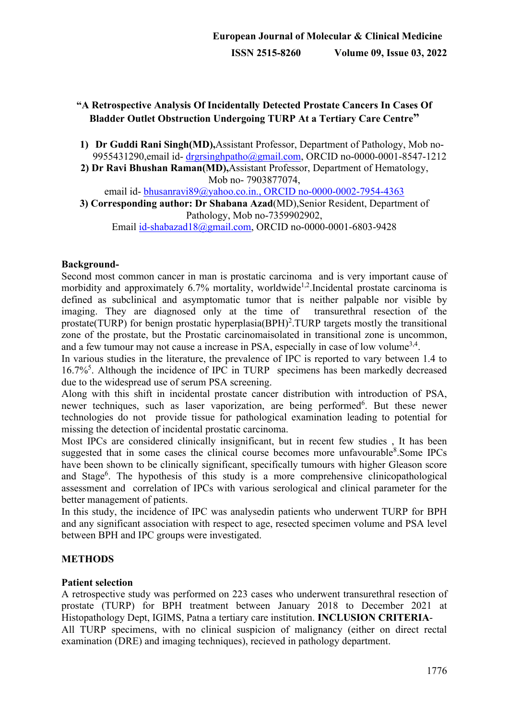## **"A Retrospective Analysis Of Incidentally Detected Prostate Cancers In Cases Of Bladder Outlet Obstruction Undergoing TURP At a Tertiary Care Centre"**

- **1) Dr Guddi Rani Singh(MD),**Assistant Professor, Department of Pathology, Mob no-9955431290, email id- drgrsing hpatho@gmail.com, ORCID no-0000-0001-8547-1212
- **2) Dr Ravi Bhushan Raman(MD),**Assistant Professor, Department of Hematology, Mob no- 7903877074,

email id- [bhusanravi89@yahoo.co.in.](mailto:bhusanravi89@yahoo.co.in), ORCID no-0000-0002-7954-4363

**3) Corresponding author: Dr Shabana Azad**(MD),Senior Resident, Department of Pathology, Mob no-7359902902,

Email [id-shabazad18@gmail.com,](mailto:id-shabazad18@gmail.com) ORCID no-0000-0001-6803-9428

### **Background-**

Second most common cancer in man is prostatic carcinoma and is very important cause of morbidity and approximately  $6.7\%$  mortality, worldwide<sup>1,2</sup>.Incidental prostate carcinoma is defined as subclinical and asymptomatic tumor that is neither palpable nor visible by imaging. They are diagnosed only at the time of transurethral resection of the prostate(TURP) for benign prostatic hyperplasia(BPH)<sup>2</sup>.TURP targets mostly the transitional zone of the prostate, but the Prostatic carcinomaisolated in transitional zone is uncommon, and a few tumour may not cause a increase in PSA, especially in case of low volume<sup>3,4</sup>.

In various studies in the literature, the prevalence of IPC is reported to vary between 1.4 to 16.7%5 . Although the incidence of IPC in TURP specimens has been markedly decreased due to the widespread use of serum PSA screening.

Along with this shift in incidental prostate cancer distribution with introduction of PSA, newer techniques, such as laser vaporization, are being performed<sup>6</sup>. But these newer technologies do not provide tissue for pathological examination leading to potential for missing the detection of incidental prostatic carcinoma.

Most IPCs are considered clinically insignificant, but in recent few studies , It has been suggested that in some cases the clinical course becomes more unfavourable<sup>8</sup>.Some IPCs have been shown to be clinically significant, specifically tumours with higher Gleason score and Stage<sup>6</sup>. The hypothesis of this study is a more comprehensive clinicopathological assessment and correlation of IPCs with various serological and clinical parameter for the better management of patients.

In this study, the incidence of IPC was analysedin patients who underwent TURP for BPH and any significant association with respect to age, resected specimen volume and PSA level between BPH and IPC groups were investigated.

### **METHODS**

### **Patient selection**

A retrospective study was performed on 223 cases who underwent transurethral resection of prostate (TURP) for BPH treatment between January 2018 to December 2021 at Histopathology Dept, IGIMS, Patna a tertiary care institution. **INCLUSION CRITERIA**-All TURP specimens, with no clinical suspicion of malignancy (either on direct rectal examination (DRE) and imaging techniques), recieved in pathology department.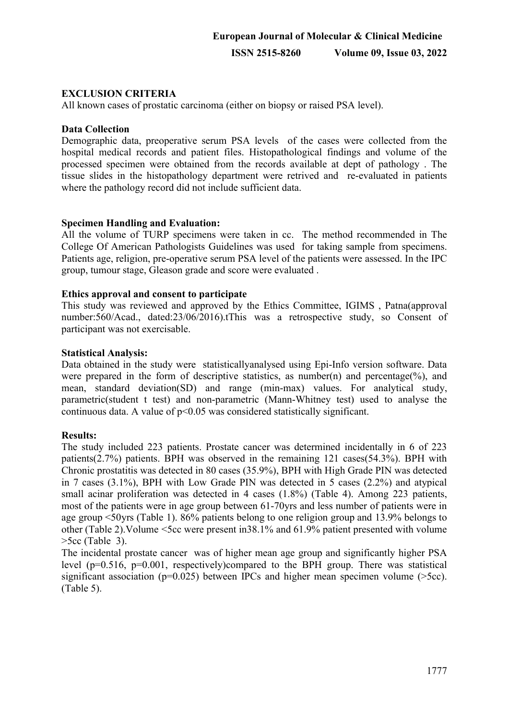### **EXCLUSION CRITERIA**

All known cases of prostatic carcinoma (either on biopsy or raised PSA level).

#### **Data Collection**

Demographic data, preoperative serum PSA levels of the cases were collected from the hospital medical records and patient files. Histopathological findings and volume of the processed specimen were obtained from the records available at dept of pathology . The tissue slides in the histopathology department were retrived and re-evaluated in patients where the pathology record did not include sufficient data.

### **Specimen Handling and Evaluation:**

All the volume of TURP specimens were taken in cc. The method recommended in The College Of American Pathologists Guidelines was used for taking sample from specimens. Patients age, religion, pre-operative serum PSA level of the patients were assessed. In the IPC group, tumour stage, Gleason grade and score were evaluated .

#### **Ethics approval and consent to participate**

This study was reviewed and approved by the Ethics Committee, IGIMS , Patna(approval number:560/Acad., dated:23/06/2016).tThis was a retrospective study, so Consent of participant was not exercisable.

### **Statistical Analysis:**

Data obtained in the study were statisticallyanalysed using Epi-Info version software. Data were prepared in the form of descriptive statistics, as number(n) and percentage(%), and mean, standard deviation(SD) and range (min-max) values. For analytical study, parametric(student t test) and non-parametric (Mann-Whitney test) used to analyse the continuous data. A value of  $p<0.05$  was considered statistically significant.

#### **Results:**

The study included 223 patients. Prostate cancer was determined incidentally in 6 of 223 patients(2.7%) patients. BPH was observed in the remaining 121 cases(54.3%). BPH with Chronic prostatitis was detected in 80 cases (35.9%), BPH with High Grade PIN was detected in 7 cases (3.1%), BPH with Low Grade PIN was detected in 5 cases (2.2%) and atypical small acinar proliferation was detected in 4 cases (1.8%) (Table 4). Among 223 patients, most of the patients were in age group between 61-70yrs and less number of patients were in age group <50yrs (Table 1). 86% patients belong to one religion group and 13.9% belongs to other (Table 2).Volume <5cc were present in38.1% and 61.9% patient presented with volume  $>5cc$  (Table 3).

The incidental prostate cancer was of higher mean age group and significantly higher PSA level (p=0.516, p=0.001, respectively)compared to the BPH group. There was statistical significant association ( $p=0.025$ ) between IPCs and higher mean specimen volume ( $>5cc$ ). (Table 5).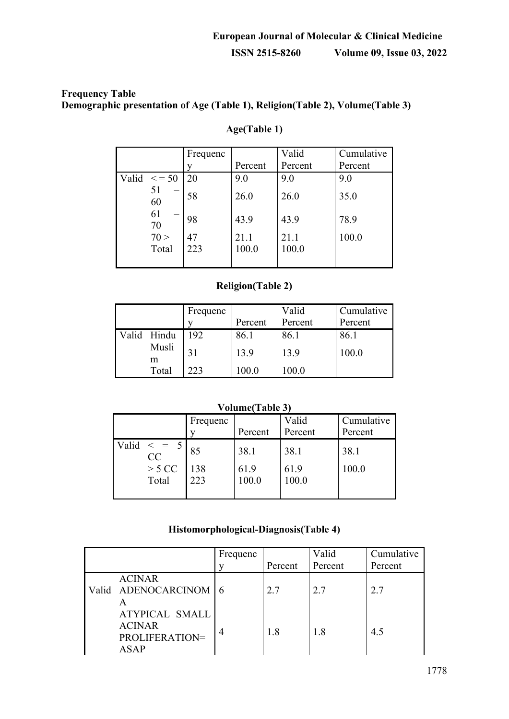## **Frequency Table Demographic presentation of Age (Table 1), Religion(Table 2), Volume(Table 3)**

|       |             | Frequenc<br>v | Percent | Valid<br>Percent | Cumulative<br>Percent |
|-------|-------------|---------------|---------|------------------|-----------------------|
| Valid | $\leq$ = 50 | 20            | 9.0     | 9.0              | 9.0                   |
|       | 51<br>60    | 58            | 26.0    | 26.0             | 35.0                  |
|       | 61<br>70    | 98            | 43.9    | 43.9             | 78.9                  |
|       | 70 >        | 47            | 21.1    | 21.1             | 100.0                 |
|       | Total       | 223           | 100.0   | 100.0            |                       |
|       |             |               |         |                  |                       |

## **Age(Table 1)**

### **Religion(Table 2)**

|             | Frequenc |         | Valid   | Cumulative |
|-------------|----------|---------|---------|------------|
|             |          | Percent | Percent | Percent    |
| Valid Hindu | 192      | 86.1    | 86.1    | 86.1       |
| Musli       | 31       | 13.9    | 13.9    | 100.0      |
| m<br>Total  | 223      | 100.0   | 100.0   |            |

## **Volume(Table 3)**

|                                           | Frequenc         | Percent               | Valid<br>Percent      | Cumulative<br>Percent |
|-------------------------------------------|------------------|-----------------------|-----------------------|-----------------------|
| Valid<br>$= 5$<br>CC<br>$>$ 5 CC<br>Total | 85<br>138<br>223 | 38.1<br>61.9<br>100.0 | 38.1<br>61.9<br>100.0 | 38.1<br>100.0         |

## **Histomorphological-Diagnosis(Table 4)**

|                                                                         | Frequenc | Percent | Valid<br>Percent | Cumulative<br>Percent |
|-------------------------------------------------------------------------|----------|---------|------------------|-----------------------|
| <b>ACINAR</b><br>Valid ADENOCARCINOM 6                                  |          | 2.7     | 2.7              | 2.7                   |
| <b>ATYPICAL SMALL</b><br><b>ACINAR</b><br>PROLIFERATION=<br><b>ASAP</b> |          | 1.8     | 1.8              | 4.5                   |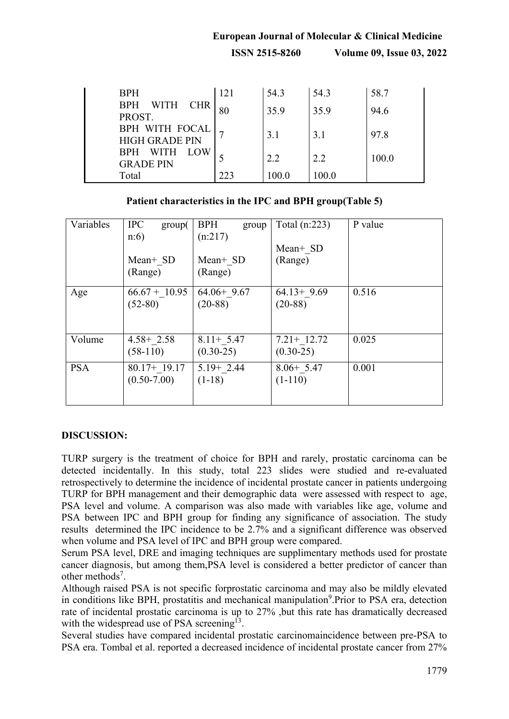# **European Journal of Molecular & Clinical Medicine ISSN 2515-8260 Volume 09, Issue 03, 2022**

| <b>BPH</b>                              | 121 | 54.3  | 54.3  | 58.7  |
|-----------------------------------------|-----|-------|-------|-------|
| <b>BPH</b><br>WITH CHR<br>PROST.        |     | 35.9  | 35.9  | 94.6  |
| BPH WITH FOCAL<br><b>HIGH GRADE PIN</b> |     | 3.1   | 3.1   | 97.8  |
| BPH WITH<br>LOW<br><b>GRADE PIN</b>     |     | 22    | 2.2   | 100.0 |
| Total                                   | 223 | 100.0 | 100.0 |       |

### **Patient characteristics in the IPC and BPH group(Table 5)**

| Variables  | <b>IPC</b><br>group(<br>n:6        | <b>BPH</b><br>group<br>(n:217) | Total $(n:223)$               | P value |
|------------|------------------------------------|--------------------------------|-------------------------------|---------|
|            | Mean+ SD<br>(Range)                | Mean+ SD<br>(Range)            | Mean+ SD<br>(Range)           |         |
| Age        | $66.67 + 10.95$<br>$(52-80)$       | $64.06+9.67$<br>$(20-88)$      | $64.13 + 9.69$<br>$(20-88)$   | 0.516   |
| Volume     | $4.58 + 2.58$<br>$(58-110)$        | $8.11+ 5.47$<br>$(0.30-25)$    | $7.21 + 12.72$<br>$(0.30-25)$ | 0.025   |
| <b>PSA</b> | $80.17 + 19.17$<br>$(0.50 - 7.00)$ | $5.19 + 2.44$<br>$(1-18)$      | $8.06+5.47$<br>$(1-110)$      | 0.001   |

#### **DISCUSSION:**

TURP surgery is the treatment of choice for BPH and rarely, prostatic carcinoma can be detected incidentally. In this study, total 223 slides were studied and re-evaluated retrospectively to determine the incidence of incidental prostate cancer in patients undergoing TURP for BPH management and their demographic data were assessed with respect to age, PSA level and volume. A comparison was also made with variables like age, volume and PSA between IPC and BPH group for finding any significance of association. The study results determined the IPC incidence to be 2.7% and a significant difference was observed when volume and PSA level of IPC and BPH group were compared.

Serum PSA level, DRE and imaging techniques are supplimentary methods used for prostate cancer diagnosis, but among them,PSA level is considered a better predictor of cancer than other methods<sup>7</sup>.

Although raised PSA is not specific forprostatic carcinoma and may also be mildly elevated in conditions like BPH, prostatitis and mechanical manipulation<sup>9</sup>. Prior to PSA era, detection rate of incidental prostatic carcinoma is up to 27% ,but this rate has dramatically decreased with the widespread use of PSA screening<sup>13</sup>.

Several studies have compared incidental prostatic carcinomaincidence between pre-PSA to PSA era. Tombal et al. reported a decreased incidence of incidental prostate cancer from 27%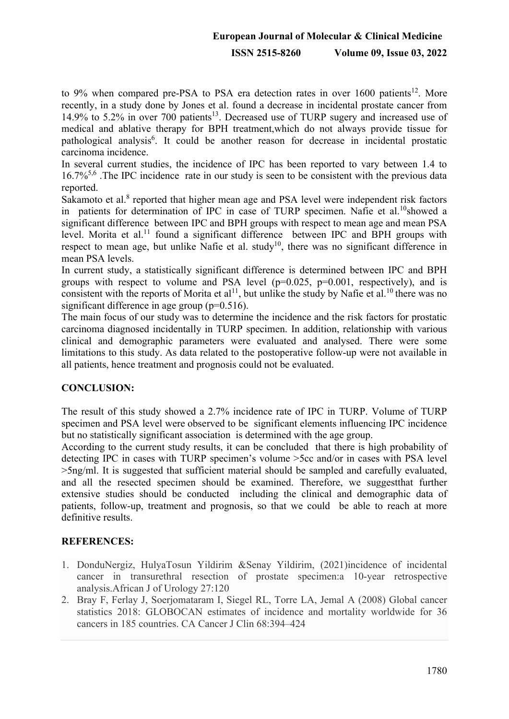to 9% when compared pre-PSA to PSA era detection rates in over  $1600$  patients<sup>12</sup>. More recently, in a study done by Jones et al. found a decrease in incidental prostate cancer from 14.9% to 5.2% in over 700 patients<sup>13</sup>. Decreased use of TURP sugery and increased use of medical and ablative therapy for BPH treatment,which do not always provide tissue for pathological analysis<sup>6</sup>. It could be another reason for decrease in incidental prostatic carcinoma incidence.

In several current studies, the incidence of IPC has been reported to vary between 1.4 to  $16.7\%$ <sup>5,6</sup>. The IPC incidence rate in our study is seen to be consistent with the previous data reported.

Sakamoto et al.<sup>8</sup> reported that higher mean age and PSA level were independent risk factors in patients for determination of IPC in case of TURP specimen. Nafie et al.<sup>10</sup>showed a significant difference between IPC and BPH groups with respect to mean age and mean PSA level. Morita et al.<sup>11</sup> found a significant difference between IPC and BPH groups with respect to mean age, but unlike Nafie et al. study<sup>10</sup>, there was no significant difference in mean PSA levels.

In current study, a statistically significant difference is determined between IPC and BPH groups with respect to volume and PSA level  $(p=0.025, p=0.001,$  respectively), and is consistent with the reports of Morita et al<sup>11</sup>, but unlike the study by Nafie et al.<sup>10</sup> there was no significant difference in age group  $(p=0.516)$ .

The main focus of our study was to determine the incidence and the risk factors for prostatic carcinoma diagnosed incidentally in TURP specimen. In addition, relationship with various clinical and demographic parameters were evaluated and analysed. There were some limitations to this study. As data related to the postoperative follow-up were not available in all patients, hence treatment and prognosis could not be evaluated.

## **CONCLUSION:**

The result of this study showed a 2.7% incidence rate of IPC in TURP. Volume of TURP specimen and PSA level were observed to be significant elements influencing IPC incidence but no statistically significant association is determined with the age group.

According to the current study results, it can be concluded that there is high probability of detecting IPC in cases with TURP specimen's volume >5cc and/or in cases with PSA level >5ng/ml. It is suggested that sufficient material should be sampled and carefully evaluated, and all the resected specimen should be examined. Therefore, we suggestthat further extensive studies should be conducted including the clinical and demographic data of patients, follow-up, treatment and prognosis, so that we could be able to reach at more definitive results.

## **REFERENCES:**

- 1. DonduNergiz, HulyaTosun Yildirim &Senay Yildirim, (2021)incidence of incidental cancer in transurethral resection of prostate specimen:a 10-year retrospective analysis.African J of Urology 27:120
- 2. Bray F, Ferlay J, Soerjomataram I, Siegel RL, Torre LA, Jemal A (2008) Global cancer statistics 2018: GLOBOCAN estimates of incidence and mortality worldwide for 36 cancers in 185 countries. CA Cancer J Clin 68:394–424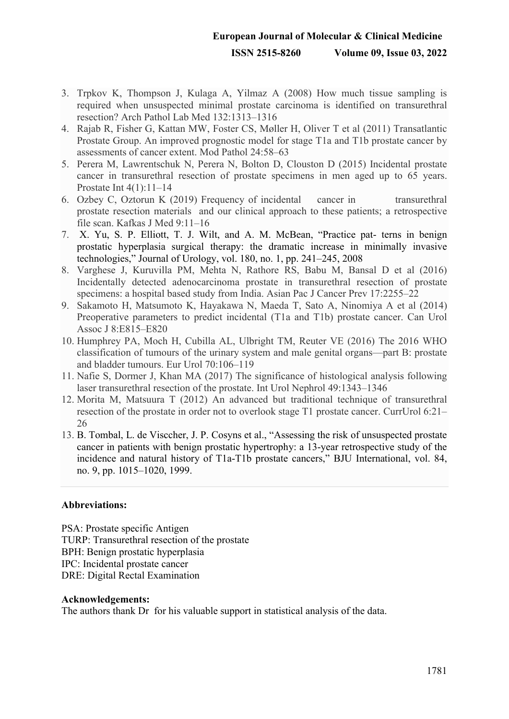# **European Journal of Molecular & Clinical Medicine ISSN 2515-8260 Volume 09, Issue 03, 2022**

- 3. Trpkov K, Thompson J, Kulaga A, Yilmaz A (2008) How much tissue sampling is required when unsuspected minimal prostate carcinoma is identified on transurethral resection? Arch Pathol Lab Med 132:1313–1316
- 4. Rajab R, Fisher G, Kattan MW, Foster CS, Møller H, Oliver T et al (2011) Transatlantic Prostate Group. An improved prognostic model for stage T1a and T1b prostate cancer by assessments of cancer extent. Mod Pathol 24:58–63
- 5. Perera M, Lawrentschuk N, Perera N, Bolton D, Clouston D (2015) Incidental prostate cancer in transurethral resection of prostate specimens in men aged up to 65 years. Prostate Int 4(1):11–14
- 6. Ozbey C, Oztorun K (2019) Frequency of incidental cancer in transurethral prostate resection materials and our clinical approach to these patients; a retrospective file scan. Kafkas J Med 9:11–16
- 7. X. Yu, S. P. Elliott, T. J. Wilt, and A. M. McBean, "Practice pat- terns in benign prostatic hyperplasia surgical therapy: the dramatic increase in minimally invasive technologies," Journal of Urology, vol. 180, no. 1, pp. 241–245, 2008
- 8. Varghese J, Kuruvilla PM, Mehta N, Rathore RS, Babu M, Bansal D et al (2016) Incidentally detected adenocarcinoma prostate in transurethral resection of prostate specimens: a hospital based study from India. Asian Pac J Cancer Prev 17:2255–22
- 9. Sakamoto H, Matsumoto K, Hayakawa N, Maeda T, Sato A, Ninomiya A et al (2014) Preoperative parameters to predict incidental (T1a and T1b) prostate cancer. Can Urol Assoc J 8:E815–E820
- 10. Humphrey PA, Moch H, Cubilla AL, Ulbright TM, Reuter VE (2016) The 2016 WHO classification of tumours of the urinary system and male genital organs—part B: prostate and bladder tumours. Eur Urol 70:106–119
- 11. Nafie S, Dormer J, Khan MA (2017) The significance of histological analysis following laser transurethral resection of the prostate. Int Urol Nephrol 49:1343–1346
- 12. Morita M, Matsuura T (2012) An advanced but traditional technique of transurethral resection of the prostate in order not to overlook stage T1 prostate cancer. CurrUrol 6:21– 26
- 13. B. Tombal, L. de Visccher, J. P. Cosyns et al., "Assessing the risk of unsuspected prostate cancer in patients with benign prostatic hypertrophy: a 13-year retrospective study of the incidence and natural history of T1a-T1b prostate cancers," BJU International, vol. 84, no. 9, pp. 1015–1020, 1999.

#### **Abbreviations:**

PSA: Prostate specific Antigen TURP: Transurethral resection of the prostate BPH: Benign prostatic hyperplasia IPC: Incidental prostate cancer DRE: Digital Rectal Examination

#### **Acknowledgements:**

The authors thank Dr for his valuable support in statistical analysis of the data.